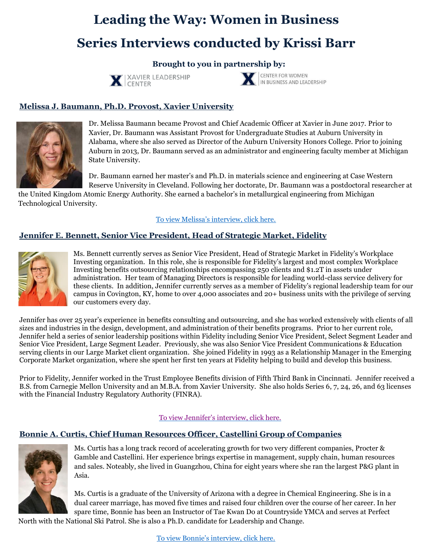# **Leading the Way: Women in Business**

# **Series Interviews conducted by Krissi Barr**

## **Brought to you in partnership by:**





# **Melissa J. Baumann, Ph.D. Provost, Xavier University**



Dr. Melissa Baumann became Provost and Chief Academic Officer at Xavier in June 2017. Prior to Xavier, Dr. Baumann was Assistant Provost for Undergraduate Studies at Auburn University in Alabama, where she also served as Director of the Auburn University Honors College. Prior to joining Auburn in 2013, Dr. Baumann served as an administrator and engineering faculty member at Michigan State University.

Dr. Baumann earned her master's and Ph.D. in materials science and engineering at Case Western Reserve University in Cleveland. Following her doctorate, Dr. Baumann was a postdoctoral researcher at

the United Kingdom Atomic Energy Authority. She earned a bachelor's in metallurgical engineering from Michigan Technological University.

[To view Melissa's interview, click here.](https://youtu.be/02U8twaz6Ho)

## **Jennifer E. Bennett, Senior Vice President, Head of Strategic Market, Fidelity**



Ms. Bennett currently serves as Senior Vice President, Head of Strategic Market in Fidelity's Workplace Investing organization. In this role, she is responsible for Fidelity's largest and most complex Workplace Investing benefits outsourcing relationships encompassing 250 clients and \$1.2T in assets under administration. Her team of Managing Directors is responsible for leading world-class service delivery for these clients. In addition, Jennifer currently serves as a member of Fidelity's regional leadership team for our campus in Covington, KY, home to over 4,000 associates and 20+ business units with the privilege of serving our customers every day.

Jennifer has over 25 year's experience in benefits consulting and outsourcing, and she has worked extensively with clients of all sizes and industries in the design, development, and administration of their benefits programs. Prior to her current role, Jennifer held a series of senior leadership positions within Fidelity including Senior Vice President, Select Segment Leader and Senior Vice President, Large Segment Leader. Previously, she was also Senior Vice President Communications & Education serving clients in our Large Market client organization. She joined Fidelity in 1993 as a Relationship Manager in the Emerging Corporate Market organization, where she spent her first ten years at Fidelity helping to build and develop this business.

Prior to Fidelity, Jennifer worked in the Trust Employee Benefits division of Fifth Third Bank in Cincinnati. Jennifer received a B.S. from Carnegie Mellon University and an M.B.A. from Xavier University. She also holds Series 6, 7, 24, 26, and 63 licenses with the Financial Industry Regulatory Authority (FINRA).

#### [To view Jennifer's interview, click here.](https://youtu.be/IZl-0IQMBGI)

## **Bonnie A. Curtis, Chief Human Resources Officer, Castellini Group of Companies**



Ms. Curtis has a long track record of accelerating growth for two very different companies, Procter & Gamble and Castellini. Her experience brings expertise in management, supply chain, human resources and sales. Noteably, she lived in Guangzhou, China for eight years where she ran the largest P&G plant in Asia.

Ms. Curtis is a graduate of the University of Arizona with a degree in Chemical Engineering. She is in a dual career marriage, has moved five times and raised four children over the course of her career. In her spare time, Bonnie has been an Instructor of Tae Kwan Do at Countryside YMCA and serves at Perfect

North with the National Ski Patrol. She is also a Ph.D. candidate for Leadership and Change.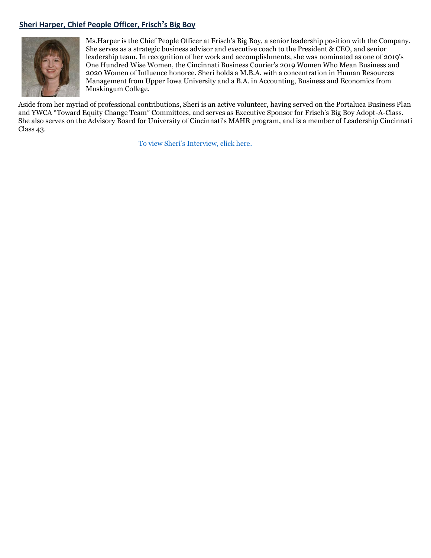## **Sheri Harper, Chief People Officer, Frisch's Big Boy**



Ms.Harper is the Chief People Officer at Frisch's Big Boy, a senior leadership position with the Company. She serves as a strategic business advisor and executive coach to the President & CEO, and senior leadership team. In recognition of her work and accomplishments, she was nominated as one of 2019's One Hundred Wise Women, the Cincinnati Business Courier's 2019 Women Who Mean Business and 2020 Women of Influence honoree. Sheri holds a M.B.A. with a concentration in Human Resources Management from Upper Iowa University and a B.A. in Accounting, Business and Economics from Muskingum College.

Aside from her myriad of professional contributions, Sheri is an active volunteer, having served on the Portaluca Business Plan and YWCA "Toward Equity Change Team" Committees, and serves as Executive Sponsor for Frisch's Big Boy Adopt-A-Class. She also serves on the Advisory Board for University of Cincinnati's MAHR program, and is a member of Leadership Cincinnati Class 43.

[To view Sheri's Interview, click here](https://youtu.be/YNwod0HRXzM).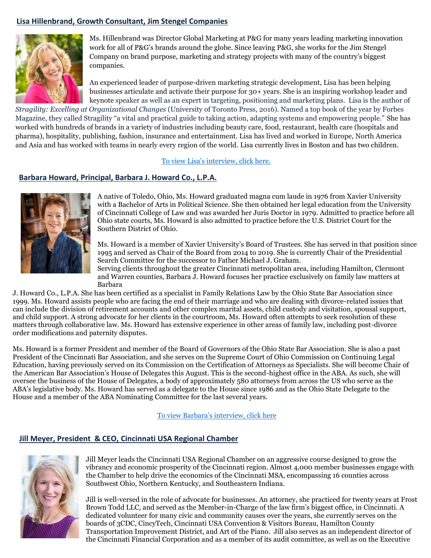### **Lisa Hillenbrand, Growth Consultant, Jim Stengel Companies**



Ms. Hillenbrand was Director Global Marketing at P&G for many years leading marketing innovation work for all of P&G's brands around the globe. Since leaving P&G, she works for the Jim Stengel Company on brand purpose, marketing and strategy projects with many of the country's biggest companies.

An experienced leader of purpose-driven marketing strategic development, Lisa has been helping businesses articulate and activate their purpose for 30+ years. She is an inspiring workshop leader and keynote speaker as well as an expert in targeting, positioning and marketing plans. Lisa is the author of

*Stragility: Excelling at Organizational Changes* (University of Toronto Press, 2016). Named a top book of the year by Forbes Magazine, they called Stragility "a vital and practical guide to taking action, adapting systems and empowering people." She has worked with hundreds of brands in a variety of industries including beauty care, food, restaurant, health care (hospitals and pharma), hospitality, publishing, fashion, insurance and entertainment. Lisa has lived and worked in Europe, North America and Asia and has worked with teams in nearly every region of the world. Lisa currently lives in Boston and has two children.

[To view Lisa's interview, click here.](https://youtu.be/Fa-Ypqs5bQU)

#### **Barbara Howard, Principal, Barbara J. Howard Co., L.P.A.**



A native of Toledo, Ohio, Ms. Howard graduated magna cum laude in 1976 from Xavier University with a Bachelor of Arts in Political Science. She then obtained her legal education from the University of Cincinnati College of Law and was awarded her Juris Doctor in 1979. Admitted to practice before all Ohio state courts, Ms. Howard is also admitted to practice before the U.S. District Court for the Southern District of Ohio.

Ms. Howard is a member of Xavier University's Board of Trustees. She has served in that position since 1995 and served as Chair of the Board from 2014 to 2019. She is currently Chair of the Presidential Search Committee for the successor to Father Michael J. Graham.

Serving clients throughout the greater Cincinnati metropolitan area, including Hamilton, Clermont and Warren counties, Barbara J. Howard focuses her practice exclusively on family law matters at Barbara

J. Howard Co., L.P.A. She has been certified as a specialist in Family Relations Law by the Ohio State Bar Association since 1999. Ms. Howard assists people who are facing the end of their marriage and who are dealing with divorce-related issues that can include the division of retirement accounts and other complex marital assets, child custody and visitation, spousal support, and child support. A strong advocate for her clients in the courtroom, Ms. Howard often attempts to seek resolution of these matters through collaborative law. Ms. Howard has extensive experience in other areas of family law, including post-divorce order modifications and paternity disputes.

Ms. Howard is a former President and member of the Board of Governors of the Ohio State Bar Association. She is also a past President of the Cincinnati Bar Association, and she serves on the Supreme Court of Ohio Commission on Continuing Legal Education, having previously served on its Commission on the Certification of Attorneys as Specialists. She will become Chair of the American Bar Association's House of Delegates this August. This is the second-highest office in the ABA. As such, she will oversee the business of the House of Delegates, a body of approximately 580 attorneys from across the US who serve as the ABA's legislative body. Ms. Howard has served as a delegate to the House since 1986 and as the Ohio State Delegate to the House and a member of the ABA Nominating Committee for the last several years.

[To view Barbara's interview, click here](https://www.youtube.com/watch?v=l5GOKptxITg&feature=youtu.be)

#### **Jill Meyer, President & CEO, Cincinnati USA Regional Chamber**



Jill Meyer leads the Cincinnati USA Regional Chamber on an aggressive course designed to grow the vibrancy and economic prosperity of the Cincinnati region. Almost 4,000 member businesses engage with the Chamber to help drive the economics of the Cincinnati MSA, encompassing 16 counties across Southwest Ohio, Northern Kentucky, and Southeastern Indiana.

Jill is well-versed in the role of advocate for businesses. An attorney, she practiced for twenty years at Frost Brown Todd LLC, and served as the Member-in-Charge of the law firm's biggest office, in Cincinnati. A dedicated volunteer for many civic and community causes over the years, she currently serves on the boards of 3CDC, CincyTech, Cincinnati USA Convention & Visitors Bureau, Hamilton County Transportation Improvement District, and Art of the Piano. Jill also serves as an independent director of the Cincinnati Financial Corporation and as a member of its audit committee, as well as on the Executive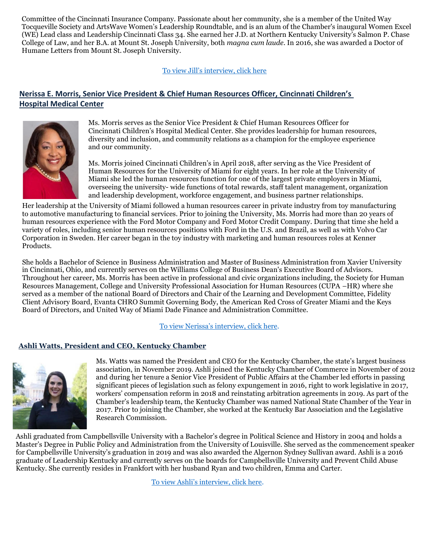Committee of the Cincinnati Insurance Company. Passionate about her community, she is a member of the United Way Tocqueville Society and ArtsWave Women's Leadership Roundtable, and is an alum of the Chamber's inaugural Women Excel (WE) Lead class and Leadership Cincinnati Class 34. She earned her J.D. at Northern Kentucky University's Salmon P. Chase College of Law, and her B.A. at Mount St. Joseph University, both *magna cum laude*. In 2016, she was awarded a Doctor of Humane Letters from Mount St. Joseph University.

To view Jill's interview, click here

## **Nerissa E. Morris, Senior Vice President & Chief Human Resources Officer, Cincinnati Children's Hospital Medical Center**



Ms. Morris serves as the Senior Vice President & Chief Human Resources Officer for Cincinnati Children's Hospital Medical Center. She provides leadership for human resources, diversity and inclusion, and community relations as a champion for the employee experience and our community.

Ms. Morris joined Cincinnati Children's in April 2018, after serving as the Vice President of Human Resources for the University of Miami for eight years. In her role at the University of Miami she led the human resources function for one of the largest private employers in Miami, overseeing the university- wide functions of total rewards, staff talent management, organization and leadership development, workforce engagement, and business partner relationships.

Her leadership at the University of Miami followed a human resources career in private industry from toy manufacturing to automotive manufacturing to financial services. Prior to joining the University, Ms. Morris had more than 20 years of human resources experience with the Ford Motor Company and Ford Motor Credit Company. During that time she held a variety of roles, including senior human resources positions with Ford in the U.S. and Brazil, as well as with Volvo Car Corporation in Sweden. Her career began in the toy industry with marketing and human resources roles at Kenner Products.

She holds a Bachelor of Science in Business Administration and Master of Business Administration from Xavier University in Cincinnati, Ohio, and currently serves on the Williams College of Business Dean's Executive Board of Advisors. Throughout her career, Ms. Morris has been active in professional and civic organizations including, the Society for Human Resources Management, College and University Professional Association for Human Resources (CUPA –HR) where she served as a member of the national Board of Directors and Chair of the Learning and Development Committee, Fidelity Client Advisory Board, Evanta CHRO Summit Governing Body, the American Red Cross of Greater Miami and the Keys Board of Directors, and United Way of Miami Dade Finance and Administration Committee.

[To view Nerissa's interview, click here](https://youtu.be/XXDM7AgZb3o).

#### **Ashli Watts, President and CEO, Kentucky Chamber**



Ms. Watts was named the President and CEO for the Kentucky Chamber, the state's largest business association, in November 2019. Ashli joined the Kentucky Chamber of Commerce in November of 2012 and during her tenure a Senior Vice President of Public Affairs at the Chamber led efforts in passing significant pieces of legislation such as felony expungement in 2016, right to work legislative in 2017, workers' compensation reform in 2018 and reinstating arbitration agreements in 2019. As part of the Chamber's leadership team, the Kentucky Chamber was named National State Chamber of the Year in 2017. Prior to joining the Chamber, she worked at the Kentucky Bar Association and the Legislative Research Commission.

Ashli graduated from Campbellsville University with a Bachelor's degree in Political Science and History in 2004 and holds a Master's Degree in Public Policy and Administration from the University of Louisville. She served as the commencement speaker for Campbellsville University's graduation in 2019 and was also awarded the Algernon Sydney Sullivan award. Ashli is a 2016 graduate of Leadership Kentucky and currently serves on the boards for Campbellsville University and Prevent Child Abuse Kentucky. She currently resides in Frankfort with her husband Ryan and two children, Emma and Carter.

[To view Ashli's interview, click here](https://youtu.be/iMqfpCDbELA).